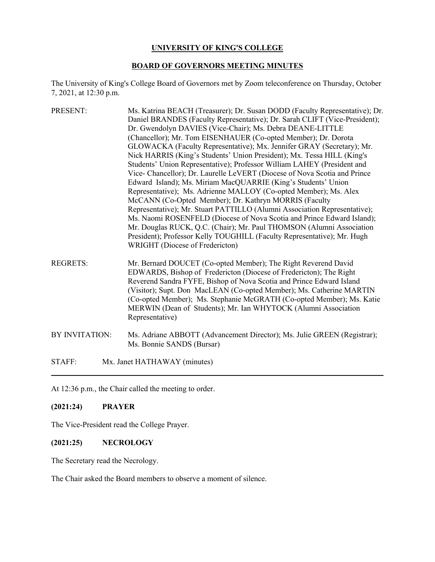#### **UNIVERSITY OF KING'S COLLEGE**

#### **BOARD OF GOVERNORS MEETING MINUTES**

The University of King's College Board of Governors met by Zoom teleconference on Thursday, October 7, 2021, at 12:30 p.m.

- PRESENT: Ms. Katrina BEACH (Treasurer); Dr. Susan DODD (Faculty Representative); Dr. Daniel BRANDES (Faculty Representative); Dr. Sarah CLIFT (Vice-President); Dr. Gwendolyn DAVIES (Vice-Chair); Ms. Debra DEANE-LITTLE (Chancellor); Mr. Tom EISENHAUER (Co-opted Member); Dr. Dorota GLOWACKA (Faculty Representative); Mx. Jennifer GRAY (Secretary); Mr. Nick HARRIS (King's Students' Union President); Mx. Tessa HILL (King's Students' Union Representative); Professor William LAHEY (President and Vice- Chancellor); Dr. Laurelle LeVERT (Diocese of Nova Scotia and Prince Edward Island); Ms. Miriam MacQUARRIE (King's Students' Union Representative); Ms. Adrienne MALLOY (Co-opted Member); Ms. Alex McCANN (Co-Opted Member); Dr. Kathryn MORRIS (Faculty Representative); Mr. Stuart PATTILLO (Alumni Association Representative); Ms. Naomi ROSENFELD (Diocese of Nova Scotia and Prince Edward Island); Mr. Douglas RUCK, Q.C. (Chair); Mr. Paul THOMSON (Alumni Association President); Professor Kelly TOUGHILL (Faculty Representative); Mr. Hugh WRIGHT (Diocese of Fredericton)
- REGRETS: Mr. Bernard DOUCET (Co-opted Member); The Right Reverend David EDWARDS, Bishop of Fredericton (Diocese of Fredericton); The Right Reverend Sandra FYFE, Bishop of Nova Scotia and Prince Edward Island (Visitor); Supt. Don MacLEAN (Co-opted Member); Ms. Catherine MARTIN (Co-opted Member); Ms. Stephanie McGRATH (Co-opted Member); Ms. Katie MERWIN (Dean of Students); Mr. Ian WHYTOCK (Alumni Association Representative)
- BY INVITATION: Ms. Adriane ABBOTT (Advancement Director); Ms. Julie GREEN (Registrar); Ms. Bonnie SANDS (Bursar)

STAFF: Mx. Janet HATHAWAY (minutes)

At 12:36 p.m., the Chair called the meeting to order.

#### **(2021:24) PRAYER**

The Vice-President read the College Prayer.

#### **(2021:25) NECROLOGY**

The Secretary read the Necrology.

The Chair asked the Board members to observe a moment of silence.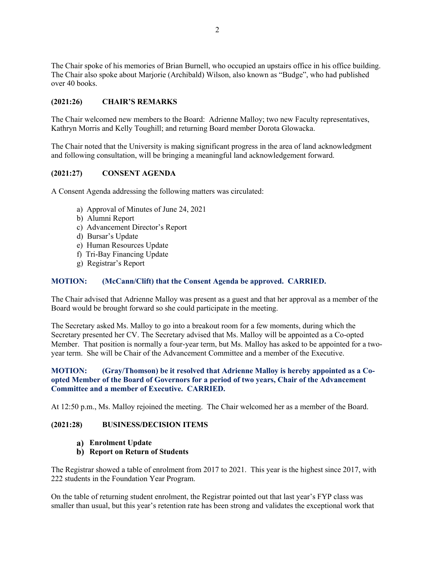The Chair spoke of his memories of Brian Burnell, who occupied an upstairs office in his office building. The Chair also spoke about Marjorie (Archibald) Wilson, also known as "Budge", who had published over 40 books.

## **(2021:26) CHAIR'S REMARKS**

The Chair welcomed new members to the Board: Adrienne Malloy; two new Faculty representatives, Kathryn Morris and Kelly Toughill; and returning Board member Dorota Glowacka.

The Chair noted that the University is making significant progress in the area of land acknowledgment and following consultation, will be bringing a meaningful land acknowledgement forward.

### **(2021:27) CONSENT AGENDA**

A Consent Agenda addressing the following matters was circulated:

- a) Approval of Minutes of June 24, 2021
- b) Alumni Report
- c) Advancement Director's Report
- d) Bursar's Update
- e) Human Resources Update
- f) Tri-Bay Financing Update
- g) Registrar's Report

#### **MOTION: (McCann/Clift) that the Consent Agenda be approved. CARRIED.**

The Chair advised that Adrienne Malloy was present as a guest and that her approval as a member of the Board would be brought forward so she could participate in the meeting.

The Secretary asked Ms. Malloy to go into a breakout room for a few moments, during which the Secretary presented her CV. The Secretary advised that Ms. Malloy will be appointed as a Co-opted Member. That position is normally a four-year term, but Ms. Malloy has asked to be appointed for a twoyear term. She will be Chair of the Advancement Committee and a member of the Executive.

## **MOTION: (Gray/Thomson) be it resolved that Adrienne Malloy is hereby appointed as a Coopted Member of the Board of Governors for a period of two years, Chair of the Advancement Committee and a member of Executive. CARRIED.**

At 12:50 p.m., Ms. Malloy rejoined the meeting. The Chair welcomed her as a member of the Board.

#### **(2021:28) BUSINESS/DECISION ITEMS**

**Enrolment Update**

### **Report on Return of Students**

The Registrar showed a table of enrolment from 2017 to 2021. This year is the highest since 2017, with 222 students in the Foundation Year Program.

On the table of returning student enrolment, the Registrar pointed out that last year's FYP class was smaller than usual, but this year's retention rate has been strong and validates the exceptional work that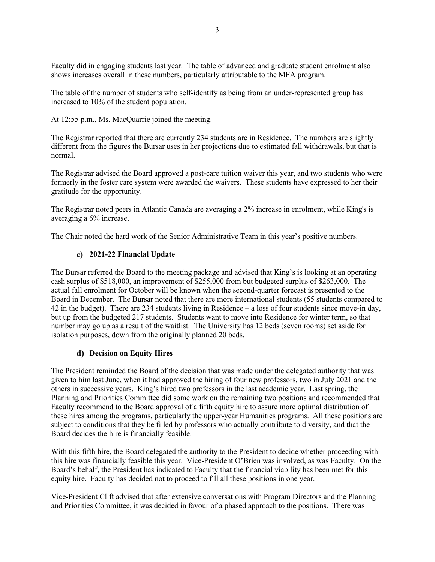Faculty did in engaging students last year. The table of advanced and graduate student enrolment also shows increases overall in these numbers, particularly attributable to the MFA program.

The table of the number of students who self-identify as being from an under-represented group has increased to 10% of the student population.

At 12:55 p.m., Ms. MacQuarrie joined the meeting.

The Registrar reported that there are currently 234 students are in Residence. The numbers are slightly different from the figures the Bursar uses in her projections due to estimated fall withdrawals, but that is normal.

The Registrar advised the Board approved a post-care tuition waiver this year, and two students who were formerly in the foster care system were awarded the waivers. These students have expressed to her their gratitude for the opportunity.

The Registrar noted peers in Atlantic Canada are averaging a 2% increase in enrolment, while King's is averaging a 6% increase.

The Chair noted the hard work of the Senior Administrative Team in this year's positive numbers.

# **2021-22 Financial Update**

The Bursar referred the Board to the meeting package and advised that King's is looking at an operating cash surplus of \$518,000, an improvement of \$255,000 from but budgeted surplus of \$263,000. The actual fall enrolment for October will be known when the second-quarter forecast is presented to the Board in December. The Bursar noted that there are more international students (55 students compared to 42 in the budget). There are 234 students living in Residence – a loss of four students since move-in day, but up from the budgeted 217 students. Students want to move into Residence for winter term, so that number may go up as a result of the waitlist. The University has 12 beds (seven rooms) set aside for isolation purposes, down from the originally planned 20 beds.

### **Decision on Equity Hires**

The President reminded the Board of the decision that was made under the delegated authority that was given to him last June, when it had approved the hiring of four new professors, two in July 2021 and the others in successive years. King's hired two professors in the last academic year. Last spring, the Planning and Priorities Committee did some work on the remaining two positions and recommended that Faculty recommend to the Board approval of a fifth equity hire to assure more optimal distribution of these hires among the programs, particularly the upper-year Humanities programs. All these positions are subject to conditions that they be filled by professors who actually contribute to diversity, and that the Board decides the hire is financially feasible.

With this fifth hire, the Board delegated the authority to the President to decide whether proceeding with this hire was financially feasible this year. Vice-President O'Brien was involved, as was Faculty. On the Board's behalf, the President has indicated to Faculty that the financial viability has been met for this equity hire. Faculty has decided not to proceed to fill all these positions in one year.

Vice-President Clift advised that after extensive conversations with Program Directors and the Planning and Priorities Committee, it was decided in favour of a phased approach to the positions. There was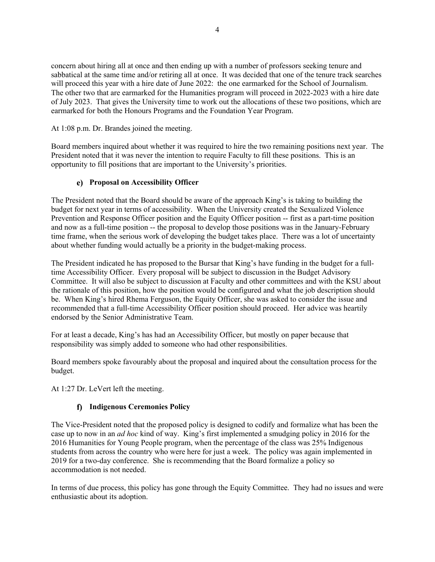concern about hiring all at once and then ending up with a number of professors seeking tenure and sabbatical at the same time and/or retiring all at once. It was decided that one of the tenure track searches will proceed this year with a hire date of June 2022: the one earmarked for the School of Journalism. The other two that are earmarked for the Humanities program will proceed in 2022-2023 with a hire date of July 2023. That gives the University time to work out the allocations of these two positions, which are earmarked for both the Honours Programs and the Foundation Year Program.

At 1:08 p.m. Dr. Brandes joined the meeting.

Board members inquired about whether it was required to hire the two remaining positions next year. The President noted that it was never the intention to require Faculty to fill these positions. This is an opportunity to fill positions that are important to the University's priorities.

## **Proposal on Accessibility Officer**

The President noted that the Board should be aware of the approach King's is taking to building the budget for next year in terms of accessibility. When the University created the Sexualized Violence Prevention and Response Officer position and the Equity Officer position -- first as a part-time position and now as a full-time position -- the proposal to develop those positions was in the January-February time frame, when the serious work of developing the budget takes place. There was a lot of uncertainty about whether funding would actually be a priority in the budget-making process.

The President indicated he has proposed to the Bursar that King's have funding in the budget for a fulltime Accessibility Officer. Every proposal will be subject to discussion in the Budget Advisory Committee. It will also be subject to discussion at Faculty and other committees and with the KSU about the rationale of this position, how the position would be configured and what the job description should be. When King's hired Rhema Ferguson, the Equity Officer, she was asked to consider the issue and recommended that a full-time Accessibility Officer position should proceed. Her advice was heartily endorsed by the Senior Administrative Team.

For at least a decade, King's has had an Accessibility Officer, but mostly on paper because that responsibility was simply added to someone who had other responsibilities.

Board members spoke favourably about the proposal and inquired about the consultation process for the budget.

At 1:27 Dr. LeVert left the meeting.

# **Indigenous Ceremonies Policy**

The Vice-President noted that the proposed policy is designed to codify and formalize what has been the case up to now in an *ad hoc* kind of way. King's first implemented a smudging policy in 2016 for the 2016 Humanities for Young People program, when the percentage of the class was 25% Indigenous students from across the country who were here for just a week. The policy was again implemented in 2019 for a two-day conference. She is recommending that the Board formalize a policy so accommodation is not needed.

In terms of due process, this policy has gone through the Equity Committee. They had no issues and were enthusiastic about its adoption.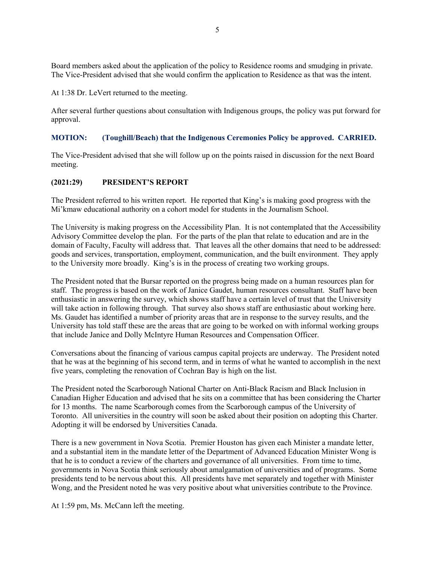Board members asked about the application of the policy to Residence rooms and smudging in private. The Vice-President advised that she would confirm the application to Residence as that was the intent.

At 1:38 Dr. LeVert returned to the meeting.

After several further questions about consultation with Indigenous groups, the policy was put forward for approval.

### **MOTION: (Toughill/Beach) that the Indigenous Ceremonies Policy be approved. CARRIED.**

The Vice-President advised that she will follow up on the points raised in discussion for the next Board meeting.

### **(2021:29) PRESIDENT'S REPORT**

The President referred to his written report. He reported that King's is making good progress with the Mi'kmaw educational authority on a cohort model for students in the Journalism School.

The University is making progress on the Accessibility Plan. It is not contemplated that the Accessibility Advisory Committee develop the plan. For the parts of the plan that relate to education and are in the domain of Faculty, Faculty will address that. That leaves all the other domains that need to be addressed: goods and services, transportation, employment, communication, and the built environment. They apply to the University more broadly. King's is in the process of creating two working groups.

The President noted that the Bursar reported on the progress being made on a human resources plan for staff. The progress is based on the work of Janice Gaudet, human resources consultant. Staff have been enthusiastic in answering the survey, which shows staff have a certain level of trust that the University will take action in following through. That survey also shows staff are enthusiastic about working here. Ms. Gaudet has identified a number of priority areas that are in response to the survey results, and the University has told staff these are the areas that are going to be worked on with informal working groups that include Janice and Dolly McIntyre Human Resources and Compensation Officer.

Conversations about the financing of various campus capital projects are underway. The President noted that he was at the beginning of his second term, and in terms of what he wanted to accomplish in the next five years, completing the renovation of Cochran Bay is high on the list.

The President noted the Scarborough National Charter on Anti-Black Racism and Black Inclusion in Canadian Higher Education and advised that he sits on a committee that has been considering the Charter for 13 months. The name Scarborough comes from the Scarborough campus of the University of Toronto. All universities in the country will soon be asked about their position on adopting this Charter. Adopting it will be endorsed by Universities Canada.

There is a new government in Nova Scotia. Premier Houston has given each Minister a mandate letter, and a substantial item in the mandate letter of the Department of Advanced Education Minister Wong is that he is to conduct a review of the charters and governance of all universities. From time to time, governments in Nova Scotia think seriously about amalgamation of universities and of programs. Some presidents tend to be nervous about this. All presidents have met separately and together with Minister Wong, and the President noted he was very positive about what universities contribute to the Province.

At 1:59 pm, Ms. McCann left the meeting.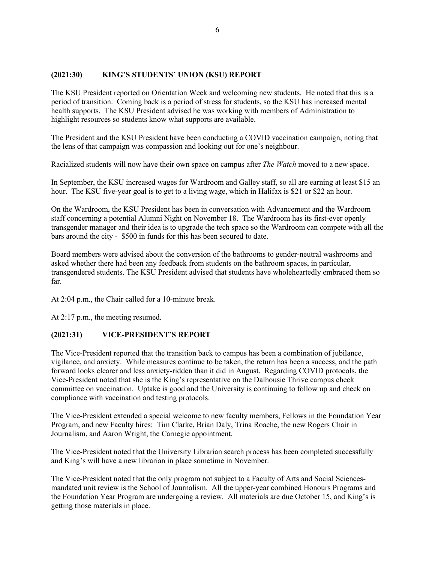## **(2021:30) KING'S STUDENTS' UNION (KSU) REPORT**

The KSU President reported on Orientation Week and welcoming new students. He noted that this is a period of transition. Coming back is a period of stress for students, so the KSU has increased mental health supports. The KSU President advised he was working with members of Administration to highlight resources so students know what supports are available.

The President and the KSU President have been conducting a COVID vaccination campaign, noting that the lens of that campaign was compassion and looking out for one's neighbour.

Racialized students will now have their own space on campus after *The Watch* moved to a new space.

In September, the KSU increased wages for Wardroom and Galley staff, so all are earning at least \$15 an hour. The KSU five-year goal is to get to a living wage, which in Halifax is \$21 or \$22 an hour.

On the Wardroom, the KSU President has been in conversation with Advancement and the Wardroom staff concerning a potential Alumni Night on November 18. The Wardroom has its first-ever openly transgender manager and their idea is to upgrade the tech space so the Wardroom can compete with all the bars around the city - \$500 in funds for this has been secured to date.

Board members were advised about the conversion of the bathrooms to gender-neutral washrooms and asked whether there had been any feedback from students on the bathroom spaces, in particular, transgendered students. The KSU President advised that students have wholeheartedly embraced them so far.

At 2:04 p.m., the Chair called for a 10-minute break.

At 2:17 p.m., the meeting resumed.

### **(2021:31) VICE-PRESIDENT'S REPORT**

The Vice-President reported that the transition back to campus has been a combination of jubilance, vigilance, and anxiety. While measures continue to be taken, the return has been a success, and the path forward looks clearer and less anxiety-ridden than it did in August. Regarding COVID protocols, the Vice-President noted that she is the King's representative on the Dalhousie Thrive campus check committee on vaccination. Uptake is good and the University is continuing to follow up and check on compliance with vaccination and testing protocols.

The Vice-President extended a special welcome to new faculty members, Fellows in the Foundation Year Program, and new Faculty hires: Tim Clarke, Brian Daly, Trina Roache, the new Rogers Chair in Journalism, and Aaron Wright, the Carnegie appointment.

The Vice-President noted that the University Librarian search process has been completed successfully and King's will have a new librarian in place sometime in November.

The Vice-President noted that the only program not subject to a Faculty of Arts and Social Sciencesmandated unit review is the School of Journalism. All the upper-year combined Honours Programs and the Foundation Year Program are undergoing a review. All materials are due October 15, and King's is getting those materials in place.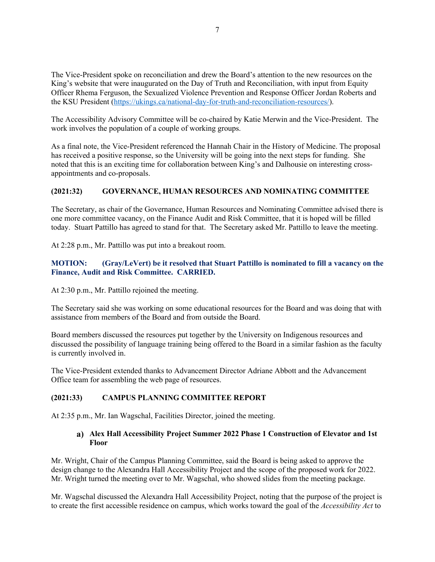The Vice-President spoke on reconciliation and drew the Board's attention to the new resources on the King's website that were inaugurated on the Day of Truth and Reconciliation, with input from Equity Officer Rhema Ferguson, the Sexualized Violence Prevention and Response Officer Jordan Roberts and the KSU President (https://ukings.ca/national-day-for-truth-and-reconciliation-resources/).

The Accessibility Advisory Committee will be co-chaired by Katie Merwin and the Vice-President. The work involves the population of a couple of working groups.

As a final note, the Vice-President referenced the Hannah Chair in the History of Medicine. The proposal has received a positive response, so the University will be going into the next steps for funding. She noted that this is an exciting time for collaboration between King's and Dalhousie on interesting crossappointments and co-proposals.

### **(2021:32) GOVERNANCE, HUMAN RESOURCES AND NOMINATING COMMITTEE**

The Secretary, as chair of the Governance, Human Resources and Nominating Committee advised there is one more committee vacancy, on the Finance Audit and Risk Committee, that it is hoped will be filled today. Stuart Pattillo has agreed to stand for that. The Secretary asked Mr. Pattillo to leave the meeting.

At 2:28 p.m., Mr. Pattillo was put into a breakout room.

#### **MOTION: (Gray/LeVert) be it resolved that Stuart Pattillo is nominated to fill a vacancy on the Finance, Audit and Risk Committee. CARRIED.**

At 2:30 p.m., Mr. Pattillo rejoined the meeting.

The Secretary said she was working on some educational resources for the Board and was doing that with assistance from members of the Board and from outside the Board.

Board members discussed the resources put together by the University on Indigenous resources and discussed the possibility of language training being offered to the Board in a similar fashion as the faculty is currently involved in.

The Vice-President extended thanks to Advancement Director Adriane Abbott and the Advancement Office team for assembling the web page of resources.

#### **(2021:33) CAMPUS PLANNING COMMITTEE REPORT**

At 2:35 p.m., Mr. Ian Wagschal, Facilities Director, joined the meeting.

### **Alex Hall Accessibility Project Summer 2022 Phase 1 Construction of Elevator and 1st Floor**

Mr. Wright, Chair of the Campus Planning Committee, said the Board is being asked to approve the design change to the Alexandra Hall Accessibility Project and the scope of the proposed work for 2022. Mr. Wright turned the meeting over to Mr. Wagschal, who showed slides from the meeting package.

Mr. Wagschal discussed the Alexandra Hall Accessibility Project, noting that the purpose of the project is to create the first accessible residence on campus, which works toward the goal of the *Accessibility Act* to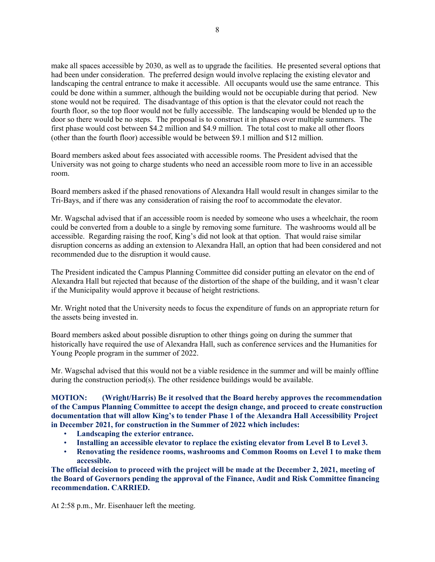make all spaces accessible by 2030, as well as to upgrade the facilities. He presented several options that had been under consideration. The preferred design would involve replacing the existing elevator and landscaping the central entrance to make it accessible. All occupants would use the same entrance. This could be done within a summer, although the building would not be occupiable during that period. New stone would not be required. The disadvantage of this option is that the elevator could not reach the fourth floor, so the top floor would not be fully accessible. The landscaping would be blended up to the door so there would be no steps. The proposal is to construct it in phases over multiple summers. The first phase would cost between \$4.2 million and \$4.9 million. The total cost to make all other floors (other than the fourth floor) accessible would be between \$9.1 million and \$12 million.

Board members asked about fees associated with accessible rooms. The President advised that the University was not going to charge students who need an accessible room more to live in an accessible room.

Board members asked if the phased renovations of Alexandra Hall would result in changes similar to the Tri-Bays, and if there was any consideration of raising the roof to accommodate the elevator.

Mr. Wagschal advised that if an accessible room is needed by someone who uses a wheelchair, the room could be converted from a double to a single by removing some furniture. The washrooms would all be accessible. Regarding raising the roof, King's did not look at that option. That would raise similar disruption concerns as adding an extension to Alexandra Hall, an option that had been considered and not recommended due to the disruption it would cause.

The President indicated the Campus Planning Committee did consider putting an elevator on the end of Alexandra Hall but rejected that because of the distortion of the shape of the building, and it wasn't clear if the Municipality would approve it because of height restrictions.

Mr. Wright noted that the University needs to focus the expenditure of funds on an appropriate return for the assets being invested in.

Board members asked about possible disruption to other things going on during the summer that historically have required the use of Alexandra Hall, such as conference services and the Humanities for Young People program in the summer of 2022.

Mr. Wagschal advised that this would not be a viable residence in the summer and will be mainly offline during the construction period(s). The other residence buildings would be available.

**MOTION: (Wright/Harris) Be it resolved that the Board hereby approves the recommendation of the Campus Planning Committee to accept the design change, and proceed to create construction documentation that will allow King's to tender Phase 1 of the Alexandra Hall Accessibility Project in December 2021, for construction in the Summer of 2022 which includes:**

- **Landscaping the exterior entrance.**
- **Installing an accessible elevator to replace the existing elevator from Level B to Level 3.**
- **Renovating the residence rooms, washrooms and Common Rooms on Level 1 to make them accessible.**

**The official decision to proceed with the project will be made at the December 2, 2021, meeting of the Board of Governors pending the approval of the Finance, Audit and Risk Committee financing recommendation. CARRIED.**

At 2:58 p.m., Mr. Eisenhauer left the meeting.